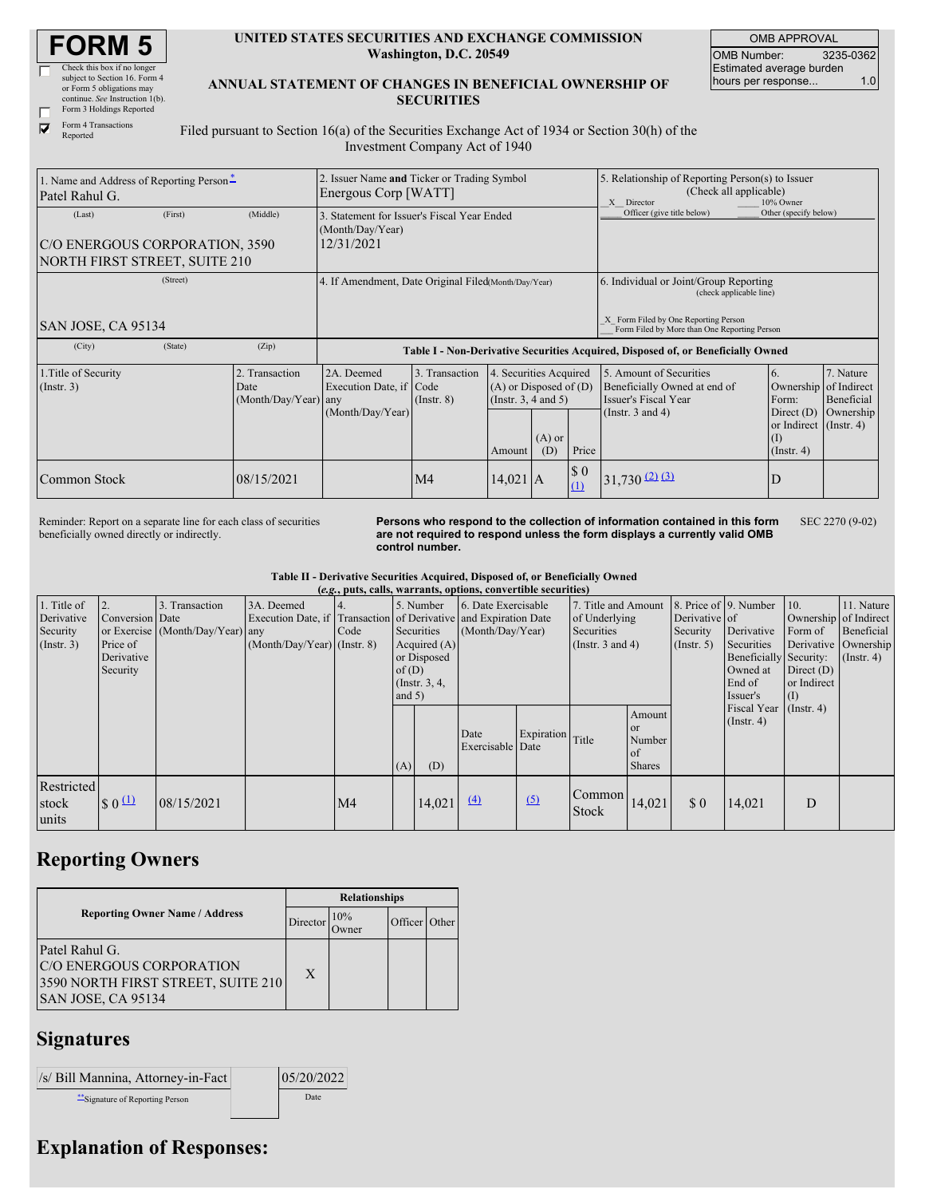| <b>FORM 5</b> |
|---------------|
|---------------|

| Check this box if no longer     |
|---------------------------------|
| subject to Section 16. Form 4   |
| or Form 5 obligations may       |
| continue. See Instruction 1(b). |
| Form 3 Holdings Reported        |

Form 4 Transactions Reported

 $\overline{\blacktriangledown}$ 

#### **UNITED STATES SECURITIES AND EXCHANGE COMMISSION Washington, D.C. 20549**

OMB APPROVAL OMB Number: 3235-0362 Estimated average burden hours per response... 1.0

### **ANNUAL STATEMENT OF CHANGES IN BENEFICIAL OWNERSHIP OF SECURITIES**

Filed pursuant to Section 16(a) of the Securities Exchange Act of 1934 or Section 30(h) of the Investment Company Act of 1940

| 1. Name and Address of Reporting Person-<br>Patel Rahul G.                       |         |                                                | 2. Issuer Name and Ticker or Trading Symbol<br>Energous Corp [WATT]              |                                   |                                                                                                                    |  |                                                                                                           | 5. Relationship of Reporting Person(s) to Issuer<br>(Check all applicable)<br>10% Owner<br>X Director    |                                                                                                                     |                                      |  |
|----------------------------------------------------------------------------------|---------|------------------------------------------------|----------------------------------------------------------------------------------|-----------------------------------|--------------------------------------------------------------------------------------------------------------------|--|-----------------------------------------------------------------------------------------------------------|----------------------------------------------------------------------------------------------------------|---------------------------------------------------------------------------------------------------------------------|--------------------------------------|--|
| (Last)<br>C/O ENERGOUS CORPORATION, 3590<br><b>NORTH FIRST STREET, SUITE 210</b> | (First) | (Middle)                                       | 3. Statement for Issuer's Fiscal Year Ended<br>(Month/Day/Year)<br>12/31/2021    |                                   |                                                                                                                    |  |                                                                                                           | Officer (give title below)                                                                               | Other (specify below)                                                                                               |                                      |  |
| (Street)                                                                         |         |                                                | 4. If Amendment, Date Original Filed(Month/Day/Year)                             |                                   |                                                                                                                    |  | 6. Individual or Joint/Group Reporting<br>(check applicable line)<br>X Form Filed by One Reporting Person |                                                                                                          |                                                                                                                     |                                      |  |
| SAN JOSE, CA 95134                                                               |         |                                                |                                                                                  |                                   |                                                                                                                    |  |                                                                                                           | Form Filed by More than One Reporting Person                                                             |                                                                                                                     |                                      |  |
| (City)                                                                           | (State) | (Zip)                                          | Table I - Non-Derivative Securities Acquired, Disposed of, or Beneficially Owned |                                   |                                                                                                                    |  |                                                                                                           |                                                                                                          |                                                                                                                     |                                      |  |
| 1. Title of Security<br>$($ Instr. 3 $)$                                         |         | 2. Transaction<br>Date<br>(Month/Day/Year) any | 2A. Deemed<br>Execution Date, if Code<br>(Month/Day/Year)                        | 3. Transaction<br>$($ Instr. $8)$ | 4. Securities Acquired<br>$(A)$ or Disposed of $(D)$<br>(Insert. 3, 4 and 5)<br>$(A)$ or<br>(D)<br>Price<br>Amount |  |                                                                                                           | 5. Amount of Securities<br>Beneficially Owned at end of<br>Issuer's Fiscal Year<br>(Instr. $3$ and $4$ ) | <sup>6.</sup><br>Ownership of Indirect<br>Form:<br>Direct $(D)$<br>or Indirect $($ Instr. 4 $)$<br>$($ Instr. 4 $)$ | 7. Nature<br>Beneficial<br>Ownership |  |
| Common Stock                                                                     |         | 08/15/2021                                     |                                                                                  | M <sub>4</sub>                    | $14,021$ A                                                                                                         |  | $\$$ 0<br>$\Omega$                                                                                        | $31,730$ (2) (3)                                                                                         |                                                                                                                     |                                      |  |

Reminder: Report on a separate line for each class of securities beneficially owned directly or indirectly.

**Persons who respond to the collection of information contained in this form are not required to respond unless the form displays a currently valid OMB control number.**

SEC 2270 (9-02)

**Table II - Derivative Securities Acquired, Disposed of, or Beneficially Owned**

| (e.g., puts, calls, warrants, options, convertible securities) |                      |                                  |                               |      |          |                 |                                                                  |                  |                                              |                        |                  |                                            |         |                       |
|----------------------------------------------------------------|----------------------|----------------------------------|-------------------------------|------|----------|-----------------|------------------------------------------------------------------|------------------|----------------------------------------------|------------------------|------------------|--------------------------------------------|---------|-----------------------|
| 1. Title of                                                    | 2.                   | 3. Transaction                   | 3A. Deemed                    | 14.  |          | 5. Number       | 6. Date Exercisable                                              |                  | 7. Title and Amount                          |                        |                  | 8. Price of 9. Number                      | 10.     | 11. Nature            |
| Derivative                                                     | Conversion Date      |                                  |                               |      |          |                 | Execution Date, if Transaction of Derivative and Expiration Date |                  | of Underlying                                |                        | Derivative of    |                                            |         | Ownership of Indirect |
| Security                                                       |                      | or Exercise (Month/Day/Year) any |                               | Code |          | Securities      | (Month/Day/Year)                                                 |                  | Securities                                   |                        | Security         | Derivative                                 | Form of | Beneficial            |
| $($ Instr. 3 $)$                                               | Price of             |                                  | $(Month/Day/Year)$ (Instr. 8) |      |          | Acquired $(A)$  |                                                                  |                  | (Instr. $3$ and $4$ )                        |                        | $($ Instr. 5 $)$ | Securities                                 |         | Derivative Ownership  |
|                                                                | Derivative           |                                  |                               |      |          | or Disposed     |                                                                  |                  |                                              | Beneficially Security: |                  | $($ Instr. 4 $)$                           |         |                       |
|                                                                | Security             |                                  |                               |      | of(D)    |                 |                                                                  |                  |                                              | Owned at               | Direct $(D)$     |                                            |         |                       |
|                                                                |                      |                                  |                               |      |          | (Instr. $3, 4,$ |                                                                  |                  |                                              |                        | End of           | or Indirect                                |         |                       |
|                                                                |                      |                                  |                               |      | and $5)$ |                 |                                                                  |                  |                                              |                        |                  | Issuer's                                   | (I)     |                       |
|                                                                |                      |                                  |                               |      |          |                 |                                                                  |                  |                                              | Amount                 |                  | Fiscal Year (Instr. 4)<br>$($ Instr. 4 $)$ |         |                       |
|                                                                |                      |                                  |                               |      |          |                 | Date                                                             | Expiration Title |                                              | <b>or</b>              |                  |                                            |         |                       |
|                                                                |                      |                                  |                               |      |          |                 | Exercisable Date                                                 |                  |                                              | Number                 |                  |                                            |         |                       |
|                                                                |                      |                                  |                               |      |          |                 |                                                                  |                  |                                              | <sub>of</sub>          |                  |                                            |         |                       |
|                                                                |                      |                                  |                               |      | (A)      | (D)             |                                                                  |                  |                                              | <b>Shares</b>          |                  |                                            |         |                       |
| Restricted                                                     |                      |                                  |                               |      |          |                 |                                                                  |                  |                                              |                        |                  |                                            |         |                       |
| stock                                                          | $\frac{1}{\sqrt{2}}$ | 08/15/2021                       |                               | M4   |          | 14,021          | $\Delta$                                                         | $\sqrt{2}$       | $\lfloor$ Common $\rfloor$ <sub>14,021</sub> |                        | \$0              | 14,021                                     | D       |                       |
| units                                                          |                      |                                  |                               |      |          |                 |                                                                  |                  | <b>Stock</b>                                 |                        |                  |                                            |         |                       |
|                                                                |                      |                                  |                               |      |          |                 |                                                                  |                  |                                              |                        |                  |                                            |         |                       |

## **Reporting Owners**

|                                                                                                        | <b>Relationships</b> |                      |               |  |  |  |  |
|--------------------------------------------------------------------------------------------------------|----------------------|----------------------|---------------|--|--|--|--|
| <b>Reporting Owner Name / Address</b>                                                                  | Director             | 10%<br><b>J</b> wner | Officer Other |  |  |  |  |
| Patel Rahul G.<br>C/O ENERGOUS CORPORATION<br>3590 NORTH FIRST STREET, SUITE 210<br>SAN JOSE, CA 95134 | X                    |                      |               |  |  |  |  |

### **Signatures**

| /s/ Bill Mannina, Attorney-in-Fact | 05/20/2022 |
|------------------------------------|------------|
| Signature of Reporting Person      | Date       |

# **Explanation of Responses:**